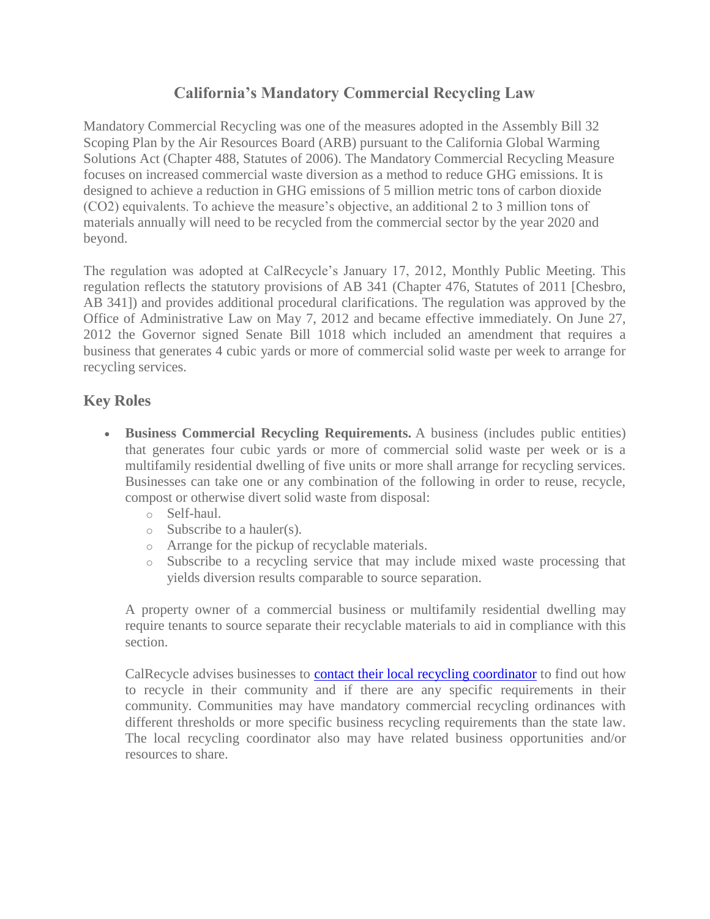## **California's Mandatory Commercial Recycling Law**

Mandatory Commercial Recycling was one of the measures adopted in the Assembly Bill 32 Scoping Plan by the Air Resources Board (ARB) pursuant to the California Global Warming Solutions Act (Chapter 488, Statutes of 2006). The Mandatory Commercial Recycling Measure focuses on increased commercial waste diversion as a method to reduce GHG emissions. It is designed to achieve a reduction in GHG emissions of 5 million metric tons of carbon dioxide (CO2) equivalents. To achieve the measure's objective, an additional 2 to 3 million tons of materials annually will need to be recycled from the commercial sector by the year 2020 and beyond.

The regulation was adopted at CalRecycle's January 17, 2012, Monthly Public Meeting. This regulation reflects the statutory provisions of AB 341 (Chapter 476, Statutes of 2011 [Chesbro, AB 341]) and provides additional procedural clarifications. The regulation was approved by the Office of Administrative Law on May 7, 2012 and became effective immediately. On June 27, 2012 the Governor signed Senate Bill 1018 which included an amendment that requires a business that generates 4 cubic yards or more of commercial solid waste per week to arrange for recycling services.

## **Key Roles**

- **Business Commercial Recycling Requirements.** A business (includes public entities) that generates four cubic yards or more of commercial solid waste per week or is a multifamily residential dwelling of five units or more shall arrange for recycling services. Businesses can take one or any combination of the following in order to reuse, recycle, compost or otherwise divert solid waste from disposal:
	- o Self-haul.
	- o Subscribe to a hauler(s).
	- o Arrange for the pickup of recyclable materials.
	- o Subscribe to a recycling service that may include mixed waste processing that yields diversion results comparable to source separation.

A property owner of a commercial business or multifamily residential dwelling may require tenants to source separate their recyclable materials to aid in compliance with this section.

CalRecycle advises businesses to **[contact their local recycling coordinator](http://www.calrecycle.ca.gov/LGCentral/Reports/Contacts.aspx)** to find out how to recycle in their community and if there are any specific requirements in their community. Communities may have mandatory commercial recycling ordinances with different thresholds or more specific business recycling requirements than the state law. The local recycling coordinator also may have related business opportunities and/or resources to share.